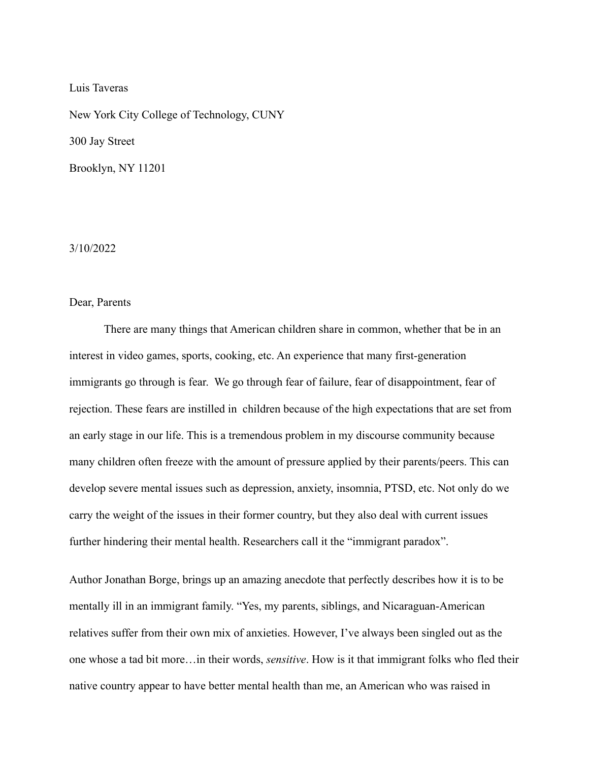Luis Taveras

New York City College of Technology, CUNY 300 Jay Street Brooklyn, NY 11201

## 3/10/2022

## Dear, Parents

There are many things that American children share in common, whether that be in an interest in video games, sports, cooking, etc. An experience that many first-generation immigrants go through is fear. We go through fear of failure, fear of disappointment, fear of rejection. These fears are instilled in children because of the high expectations that are set from an early stage in our life. This is a tremendous problem in my discourse community because many children often freeze with the amount of pressure applied by their parents/peers. This can develop severe mental issues such as depression, anxiety, insomnia, PTSD, etc. Not only do we carry the weight of the issues in their former country, but they also deal with current issues further hindering their mental health. Researchers call it the "immigrant paradox".

Author Jonathan Borge, brings up an amazing anecdote that perfectly describes how it is to be mentally ill in an immigrant family. "Yes, my parents, siblings, and Nicaraguan-American relatives suffer from their own mix of anxieties. However, I've always been singled out as the one whose a tad bit more…in their words, *sensitive*. How is it that immigrant folks who fled their native country appear to have better mental health than me, an American who was raised in